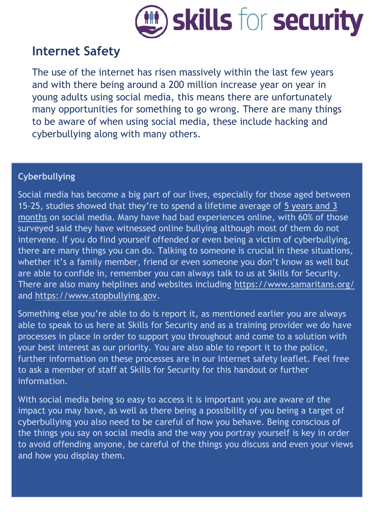

## **Internet Safety**

The use of the internet has risen massively within the last few years and with there being around a 200 million increase year on year in young adults using social media, this means there are unfortunately many opportunities for something to go wrong. There are many things to be aware of when using social media, these include hacking and cyberbullying along with many others.

## **Cyberbullying**

Social media has become a big part of our lives, especially for those aged between 15-25, studies showed that they're to spend a lifetime average of [5 years and 3](https://www.socialmediatoday.com/marketing/how-much-time-do-people-spend-social-media-infographic)  [months](https://www.socialmediatoday.com/marketing/how-much-time-do-people-spend-social-media-infographic) on social media. Many have had bad experiences online, with 60% of those surveyed said they have witnessed online bullying although most of them do not intervene. If you do find yourself offended or even being a victim of cyberbullying, there are many things you can do. Talking to someone is crucial in these situations, whether it's a family member, friend or even someone you don't know as well but are able to confide in, remember you can always talk to us at Skills for Security. There are also many helplines and websites including<https://www.samaritans.org/> and [https://www.stopbullying.gov.](https://www.stopbullying.gov/)

Something else you're able to do is report it, as mentioned earlier you are always able to speak to us here at Skills for Security and as a training provider we do have processes in place in order to support you throughout and come to a solution with your best interest as our priority. You are also able to report it to the police, further information on these processes are in our Internet safety leaflet. Feel free to ask a member of staff at Skills for Security for this handout or further information.

With social media being so easy to access it is important you are aware of the impact you may have, as well as there being a possibility of you being a target of cyberbullying you also need to be careful of how you behave. Being conscious of the things you say on social media and the way you portray yourself is key in order to avoid offending anyone, be careful of the things you discuss and even your views and how you display them.